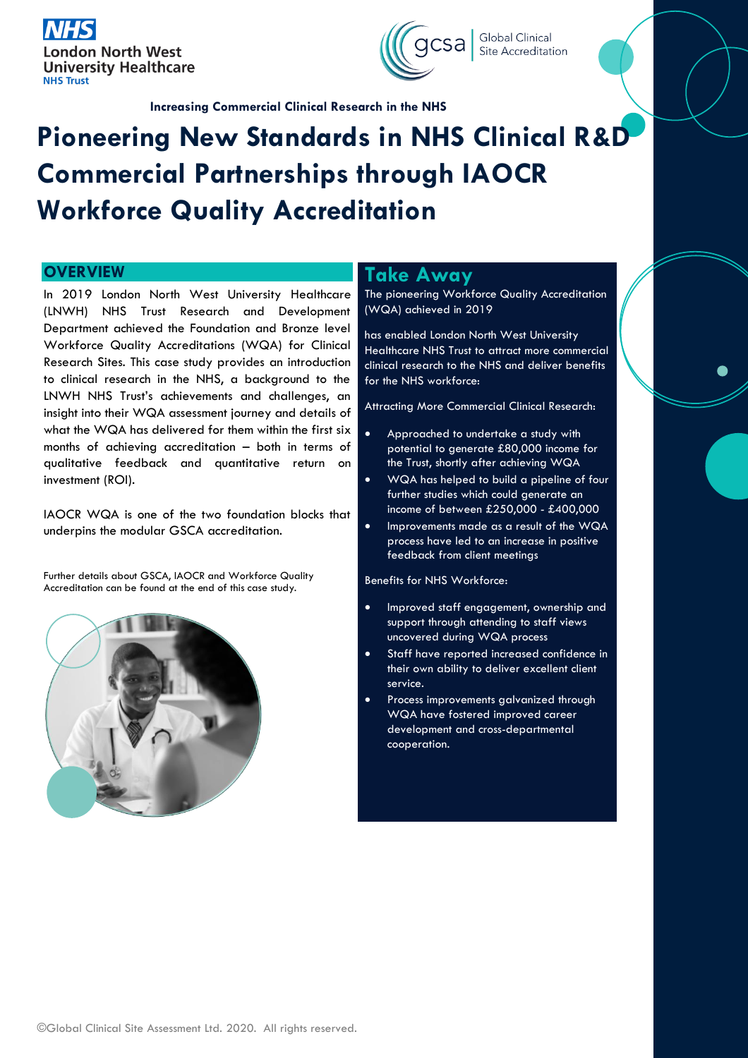



Site Accreditation

**Increasing Commercial Clinical Research in the NHS**

# **Pioneering New Standards in NHS Clinical R&D Commercial Partnerships through IAOCR Workforce Quality Accreditation**

In 2019 London North West University Healthcare (LNWH) NHS Trust Research and Development Department achieved the Foundation and Bronze level Workforce Quality Accreditations (WQA) for Clinical Research Sites. This case study provides an introduction to clinical research in the NHS, a background to the LNWH NHS Trust's achievements and challenges, an insight into their WQA assessment journey and details of what the WQA has delivered for them within the first six months of achieving accreditation – both in terms of qualitative feedback and quantitative return on investment (ROI).

IAOCR WQA is one of the two foundation blocks that underpins the modular GSCA accreditation.

Further details about GSCA, IAOCR and Workforce Quality Accreditation can be found at the end of this case study.



# **OVERVIEW <b>Take Away**

The pioneering Workforce Quality Accreditation (WQA) achieved in 2019

has enabled London North West University Healthcare NHS Trust to attract more commercial clinical research to the NHS and deliver benefits for the NHS workforce:

Attracting More Commercial Clinical Research:

- Approached to undertake a study with potential to generate £80,000 income for the Trust, shortly after achieving WQA
- WQA has helped to build a pipeline of four further studies which could generate an income of between £250,000 - £400,000
- Improvements made as a result of the WQA process have led to an increase in positive feedback from client meetings

Benefits for NHS Workforce:

- Improved staff engagement, ownership and support through attending to staff views uncovered during WQA process
- Staff have reported increased confidence in their own ability to deliver excellent client service.
- Process improvements galvanized through WQA have fostered improved career development and cross-departmental cooperation.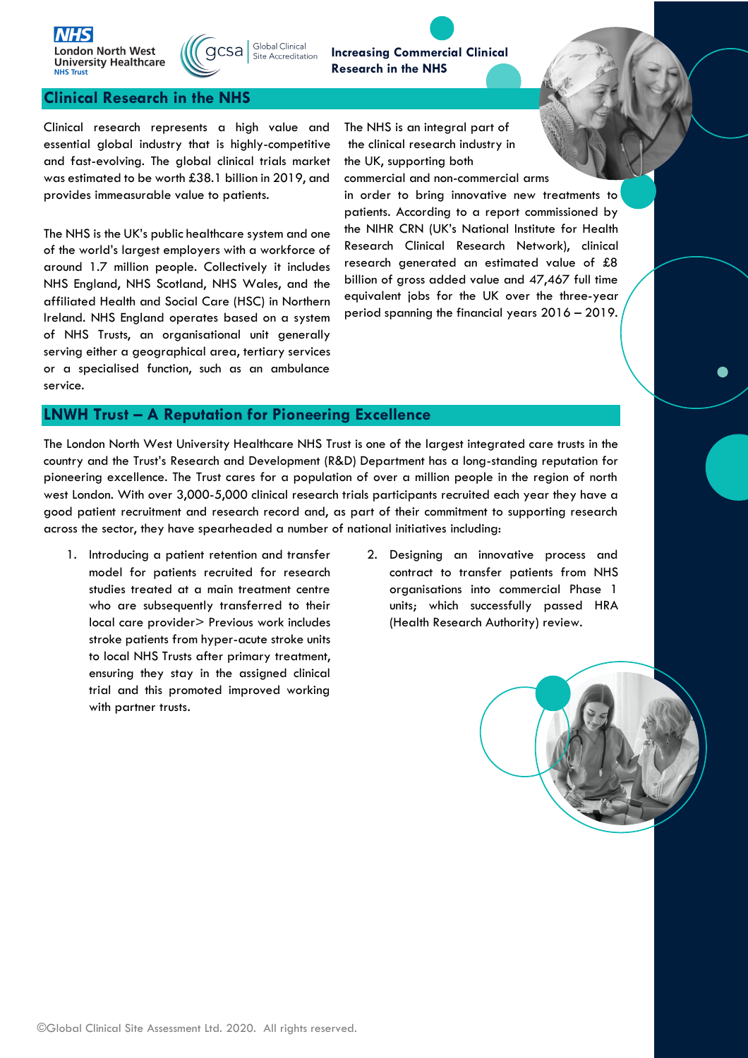



**Increasing Commercial Clinical**  Site Accreditation **Research in the NHS**

#### **Clinical Research in the NHS**

Clinical research represents a high value and essential global industry that is highly-competitive and fast-evolving. The global clinical trials market was estimated to be worth £38.1 billion in 2019, and provides immeasurable value to patients.

The NHS is the UK's public healthcare system and one of the world's largest employers with a workforce of around 1.7 million people. Collectively it includes NHS England, NHS Scotland, NHS Wales, and the affiliated Health and Social Care (HSC) in Northern Ireland. NHS England operates based on a system of NHS Trusts, an organisational unit generally serving either a geographical area, tertiary services or a specialised function, such as an ambulance service.

The NHS is an integral part of the clinical research industry in the UK, supporting both

commercial and non-commercial arms in order to bring innovative new treatments to patients. According to a report commissioned by the NIHR CRN (UK's National Institute for Health Research Clinical Research Network), clinical research generated an estimated value of £8 billion of gross added value and 47,467 full time equivalent jobs for the UK over the three-year period spanning the financial years 2016 – 2019.

#### **LNWH Trust – A Reputation for Pioneering Excellence**

The London North West University Healthcare NHS Trust is one of the largest integrated care trusts in the country and the Trust's Research and Development (R&D) Department has a long-standing reputation for pioneering excellence. The Trust cares for a population of over a million people in the region of north west London. With over 3,000-5,000 clinical research trials participants recruited each year they have a good patient recruitment and research record and, as part of their commitment to supporting research across the sector, they have spearheaded a number of national initiatives including:

- 1. Introducing a patient retention and transfer model for patients recruited for research studies treated at a main treatment centre who are subsequently transferred to their local care provider> Previous work includes stroke patients from hyper-acute stroke units to local NHS Trusts after primary treatment, ensuring they stay in the assigned clinical trial and this promoted improved working with partner trusts.
- 2. Designing an innovative process and contract to transfer patients from NHS organisations into commercial Phase 1 units; which successfully passed HRA (Health Research Authority) review.

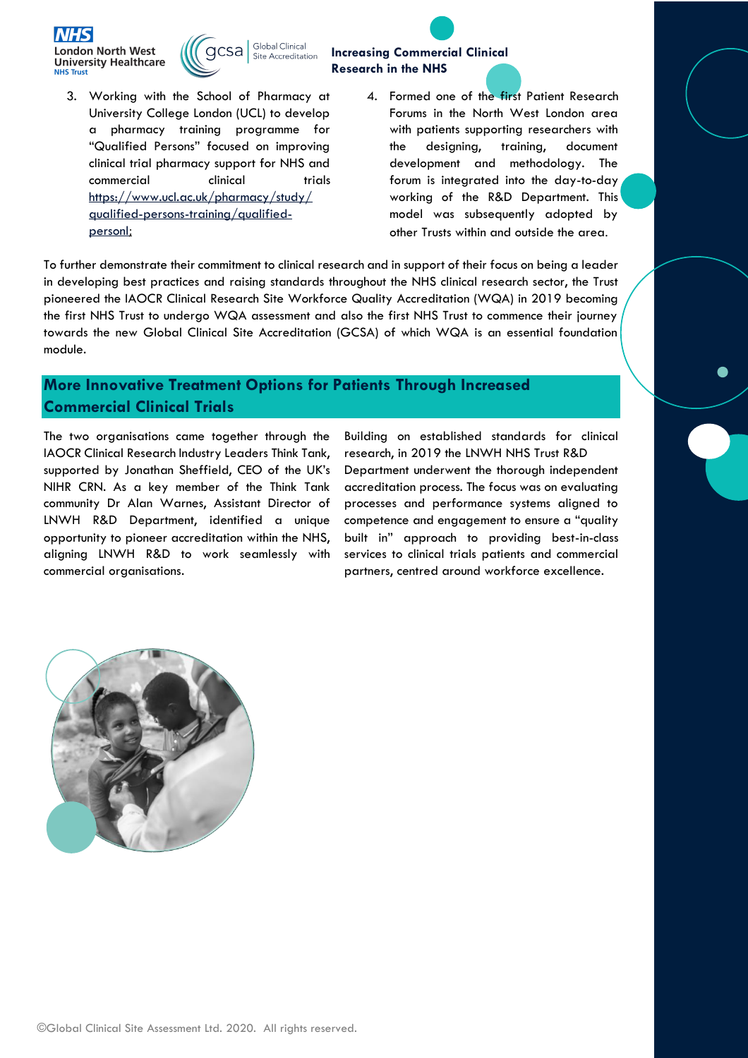



3. Working with the School of Pharmacy at University College London (UCL) to develop a pharmacy training programme for "Qualified Persons" focused on improving clinical trial pharmacy support for NHS and commercial clinical trials [https://www.ucl.ac.uk/pharmacy/study/](https://www.ucl.ac.uk/pharmacy/study/qualified-persons-training/qualified-person) [qualified-persons-training/qualified](https://www.ucl.ac.uk/pharmacy/study/qualified-persons-training/qualified-person)[personl](https://www.ucl.ac.uk/pharmacy/study/qualified-persons-training/qualified-person);

## **Increasing Commercial Clinical Research in the NHS**

4. Formed one of the first Patient Research Forums in the North West London area with patients supporting researchers with the designing, training, document development and methodology. The forum is integrated into the day-to-day working of the R&D Department. This model was subsequently adopted by other Trusts within and outside the area.

To further demonstrate their commitment to clinical research and in support of their focus on being a leader in developing best practices and raising standards throughout the NHS clinical research sector, the Trust pioneered the IAOCR Clinical Research Site Workforce Quality Accreditation (WQA) in 2019 becoming the first NHS Trust to undergo WQA assessment and also the first NHS Trust to commence their journey towards the new Global Clinical Site Accreditation (GCSA) of which WQA is an essential foundation module.

# **More Innovative Treatment Options for Patients Through Increased Commercial Clinical Trials**

The two organisations came together through the IAOCR Clinical Research Industry Leaders Think Tank, supported by Jonathan Sheffield, CEO of the UK's NIHR CRN. As a key member of the Think Tank community Dr Alan Warnes, Assistant Director of LNWH R&D Department, identified a unique opportunity to pioneer accreditation within the NHS, aligning LNWH R&D to work seamlessly with commercial organisations.

Building on established standards for clinical research, in 2019 the LNWH NHS Trust R&D Department underwent the thorough independent accreditation process. The focus was on evaluating processes and performance systems aligned to competence and engagement to ensure a "quality built in" approach to providing best-in-class services to clinical trials patients and commercial partners, centred around workforce excellence.

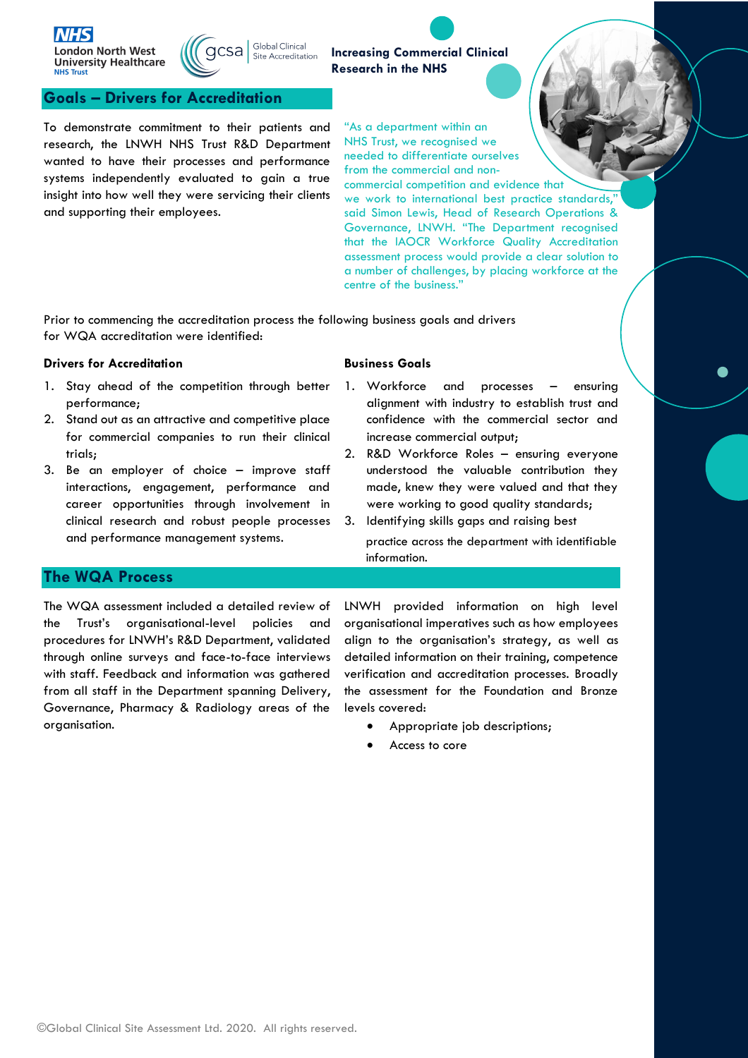



#### **Goals – Drivers for Accreditation**

To demonstrate commitment to their patients and research, the LNWH NHS Trust R&D Department wanted to have their processes and performance systems independently evaluated to gain a true insight into how well they were servicing their clients and supporting their employees.

"As a department within an NHS Trust, we recognised we needed to differentiate ourselves from the commercial and non-

**Increasing Commercial Clinical** 

**Research in the NHS**

commercial competition and evidence that we work to international best practice standards, said Simon Lewis, Head of Research Operations & Governance, LNWH. "The Department recognised that the IAOCR Workforce Quality Accreditation assessment process would provide a clear solution to a number of challenges, by placing workforce at the centre of the business."

Prior to commencing the accreditation process the following business goals and drivers for WQA accreditation were identified:

#### **Drivers for Accreditation**

- 1. Stay ahead of the competition through better performance;
- 2. Stand out as an attractive and competitive place for commercial companies to run their clinical trials;
- 3. Be an employer of choice improve staff interactions, engagement, performance and career opportunities through involvement in clinical research and robust people processes and performance management systems.

#### **Business Goals**

information.

- 1. Workforce and processes ensuring alignment with industry to establish trust and confidence with the commercial sector and increase commercial output;
- 2. R&D Workforce Roles ensuring everyone understood the valuable contribution they made, knew they were valued and that they were working to good quality standards;
- 3. Identifying skills gaps and raising best practice across the department with identifiable

#### **The WQA Process**

The WQA assessment included a detailed review of the Trust's organisational-level policies and procedures for LNWH's R&D Department, validated through online surveys and face-to-face interviews with staff. Feedback and information was gathered from all staff in the Department spanning Delivery, Governance, Pharmacy & Radiology areas of the organisation.

LNWH provided information on high level organisational imperatives such as how employees align to the organisation's strategy, as well as detailed information on their training, competence verification and accreditation processes. Broadly the assessment for the Foundation and Bronze levels covered:

- Appropriate job descriptions;
- Access to core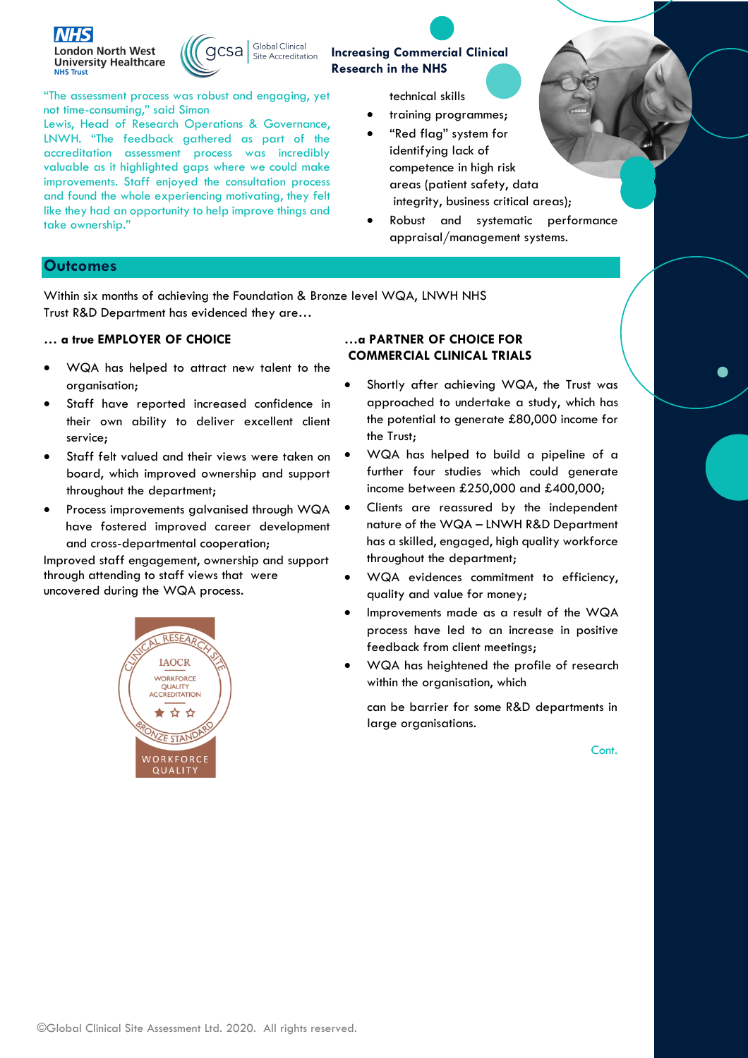



**Increasing Commercial Clinical Research in the NHS**

"The assessment process was robust and engaging, yet not time-consuming," said Simon

Lewis, Head of Research Operations & Governance, LNWH. "The feedback gathered as part of the accreditation assessment process was incredibly valuable as it highlighted gaps where we could make improvements. Staff enjoyed the consultation process and found the whole experiencing motivating, they felt like they had an opportunity to help improve things and take ownership."

technical skills

- training programmes;
- "Red flag" system for identifying lack of competence in high risk areas (patient safety, data integrity, business critical areas);
- Robust and systematic performance appraisal/management systems.

#### **Outcomes**

Within six months of achieving the Foundation & Bronze level WQA, LNWH NHS Trust R&D Department has evidenced they are…

#### **… a true EMPLOYER OF CHOICE**

- WQA has helped to attract new talent to the organisation;
- Staff have reported increased confidence in their own ability to deliver excellent client service;
- Staff felt valued and their views were taken on board, which improved ownership and support throughout the department;
- Process improvements galvanised through WQA have fostered improved career development and cross-departmental cooperation;

Improved staff engagement, ownership and support through attending to staff views that were uncovered during the WQA process.



#### **…a PARTNER OF CHOICE FOR COMMERCIAL CLINICAL TRIALS**

- Shortly after achieving WQA, the Trust was approached to undertake a study, which has the potential to generate £80,000 income for the Trust;
- WQA has helped to build a pipeline of a further four studies which could generate income between £250,000 and £400,000;
- Clients are reassured by the independent nature of the WQA – LNWH R&D Department has a skilled, engaged, high quality workforce throughout the department;
- WQA evidences commitment to efficiency, quality and value for money;
- Improvements made as a result of the WQA process have led to an increase in positive feedback from client meetings;
- WQA has heightened the profile of research within the organisation, which

can be barrier for some R&D departments in large organisations.

Cont.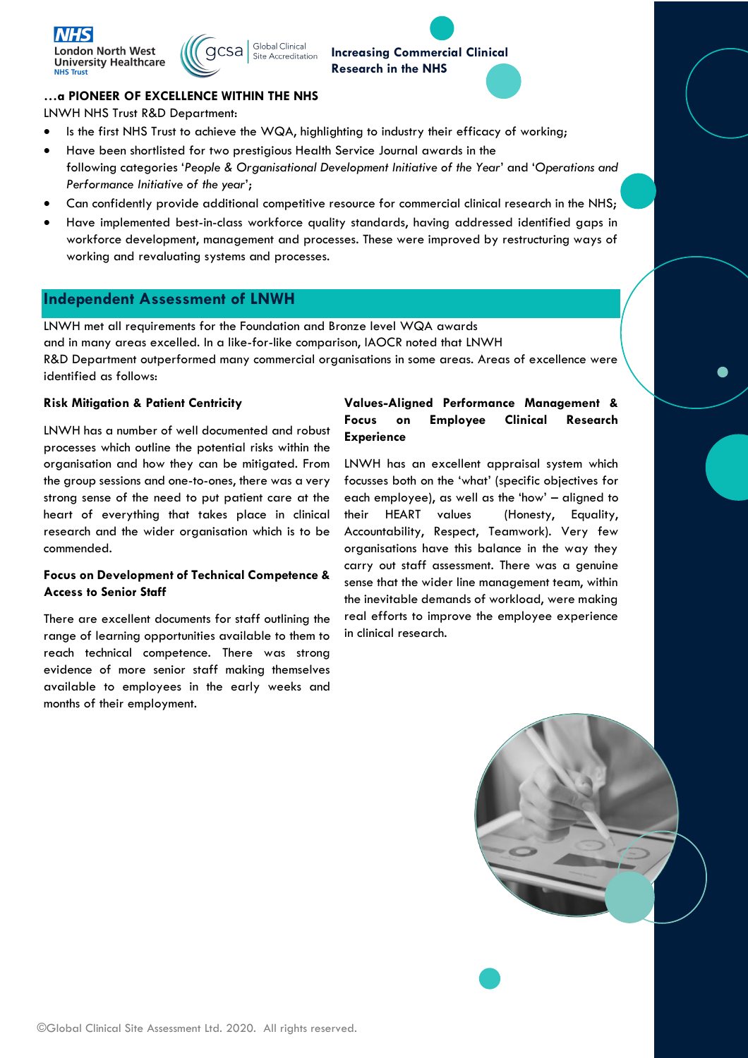



### **Increasing Commercial Clinical Research in the NHS**

#### **…a PIONEER OF EXCELLENCE WITHIN THE NHS**

LNWH NHS Trust R&D Department:

- Is the first NHS Trust to achieve the WQA, highlighting to industry their efficacy of working;
- Have been shortlisted for two prestigious Health Service Journal awards in the following categories '*People & Organisational Development Initiative of the Year*' and '*Operations and Performance Initiative of the year*';
- Can confidently provide additional competitive resource for commercial clinical research in the NHS;
- Have implemented best-in-class workforce quality standards, having addressed identified gaps in workforce development, management and processes. These were improved by restructuring ways of working and revaluating systems and processes.

#### **Independent Assessment of LNWH**

LNWH met all requirements for the Foundation and Bronze level WQA awards and in many areas excelled. In a like-for-like comparison, IAOCR noted that LNWH R&D Department outperformed many commercial organisations in some areas. Areas of excellence were identified as follows:

#### **Risk Mitigation & Patient Centricity**

LNWH has a number of well documented and robust processes which outline the potential risks within the organisation and how they can be mitigated. From the group sessions and one-to-ones, there was a very strong sense of the need to put patient care at the heart of everything that takes place in clinical research and the wider organisation which is to be commended.

#### **Focus on Development of Technical Competence & Access to Senior Staff**

There are excellent documents for staff outlining the range of learning opportunities available to them to reach technical competence. There was strong evidence of more senior staff making themselves available to employees in the early weeks and months of their employment.

#### **Values-Aligned Performance Management & Focus on Employee Clinical Research Experience**

LNWH has an excellent appraisal system which focusses both on the 'what' (specific objectives for each employee), as well as the 'how' – aligned to their HEART values (Honesty, Equality, Accountability, Respect, Teamwork). Very few organisations have this balance in the way they carry out staff assessment. There was a genuine sense that the wider line management team, within the inevitable demands of workload, were making real efforts to improve the employee experience in clinical research.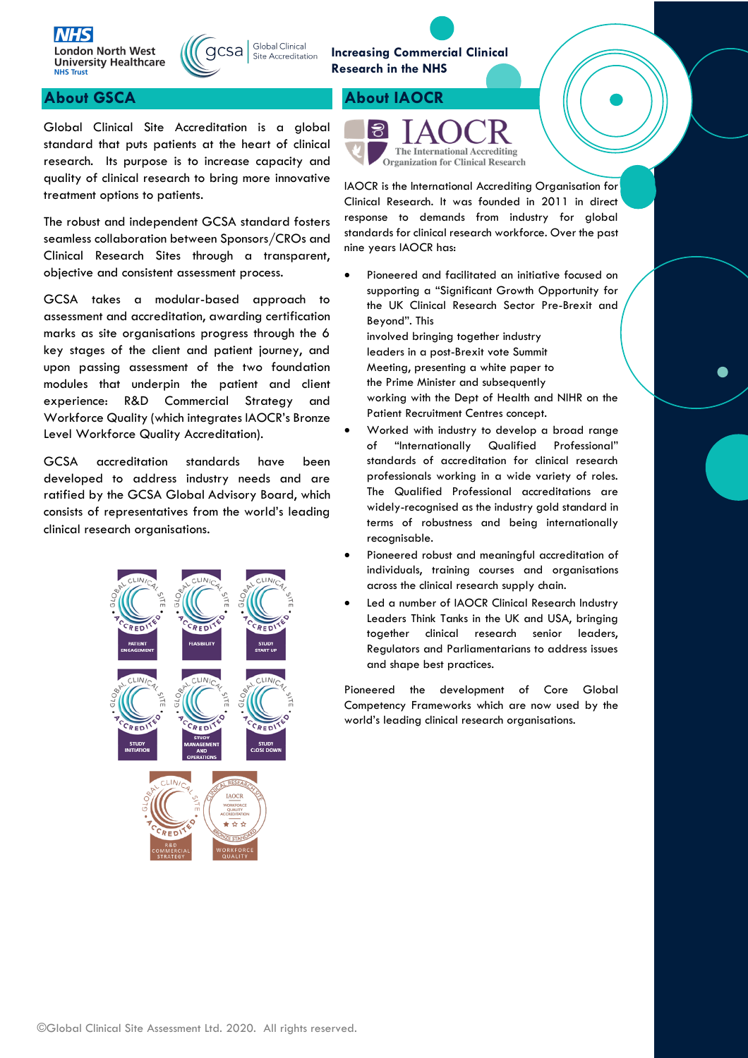



Site Accreditation

### **About GSCA About IAOCR**

Global Clinical Site Accreditation is a global standard that puts patients at the heart of clinical research. Its purpose is to increase capacity and quality of clinical research to bring more innovative treatment options to patients.

The robust and independent GCSA standard fosters seamless collaboration between Sponsors/CROs and Clinical Research Sites through a transparent, objective and consistent assessment process.

GCSA takes a modular-based approach to assessment and accreditation, awarding certification marks as site organisations progress through the 6 key stages of the client and patient journey, and upon passing assessment of the two foundation modules that underpin the patient and client experience: R&D Commercial Strategy and Workforce Quality (which integrates IAOCR's Bronze Level Workforce Quality Accreditation).

GCSA accreditation standards have been developed to address industry needs and are ratified by the GCSA Global Advisory Board, which consists of representatives from the world's leading clinical research organisations.



#### **Increasing Commercial Clinical Research in the NHS**



IAOCR is the International Accrediting Organisation for Clinical Research. It was founded in 2011 in direct response to demands from industry for global standards for clinical research workforce. Over the past nine years IAOCR has:

• Pioneered and facilitated an initiative focused on supporting a "Significant Growth Opportunity for the UK Clinical Research Sector Pre-Brexit and Beyond". This involved bringing together industry leaders in a post-Brexit vote Summit Meeting, presenting a white paper to

the Prime Minister and subsequently working with the Dept of Health and NIHR on the Patient Recruitment Centres concept.

- Worked with industry to develop a broad range of "Internationally Qualified Professional" standards of accreditation for clinical research professionals working in a wide variety of roles. The Qualified Professional accreditations are widely-recognised as the industry gold standard in terms of robustness and being internationally recognisable.
- Pioneered robust and meaningful accreditation of individuals, training courses and organisations across the clinical research supply chain.
- Led a number of IAOCR Clinical Research Industry Leaders Think Tanks in the UK and USA, bringing together clinical research senior leaders, Regulators and Parliamentarians to address issues and shape best practices.

Pioneered the development of Core Global Competency Frameworks which are now used by the world's leading clinical research organisations.